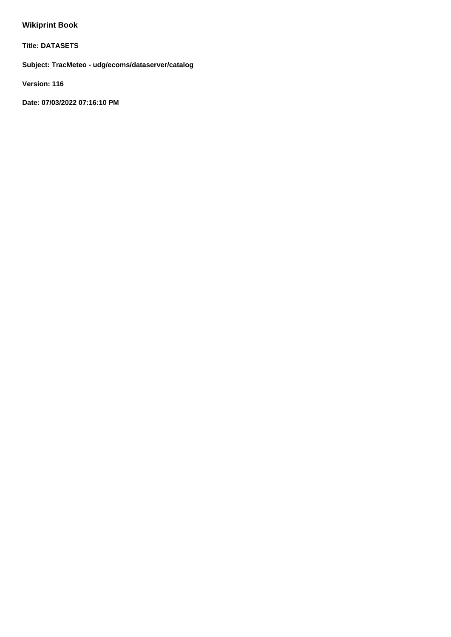# **Wikiprint Book**

**Title: DATASETS**

**Subject: TracMeteo - udg/ecoms/dataserver/catalog**

**Version: 116**

**Date: 07/03/2022 07:16:10 PM**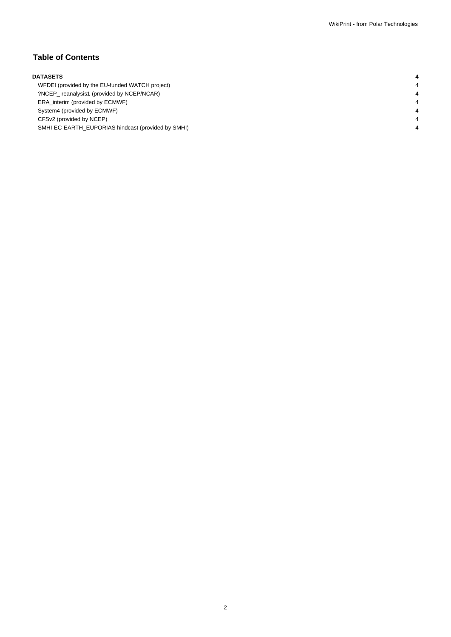# **Table of Contents**

| <b>DATASETS</b> |                                                    |  |  |  |
|-----------------|----------------------------------------------------|--|--|--|
|                 | WFDEI (provided by the EU-funded WATCH project)    |  |  |  |
|                 | ?NCEP reanalysis1 (provided by NCEP/NCAR)          |  |  |  |
|                 | ERA interim (provided by ECMWF)                    |  |  |  |
|                 | System4 (provided by ECMWF)                        |  |  |  |
|                 | CFSv2 (provided by NCEP)                           |  |  |  |
|                 | SMHI-EC-EARTH EUPORIAS hindcast (provided by SMHI) |  |  |  |
|                 |                                                    |  |  |  |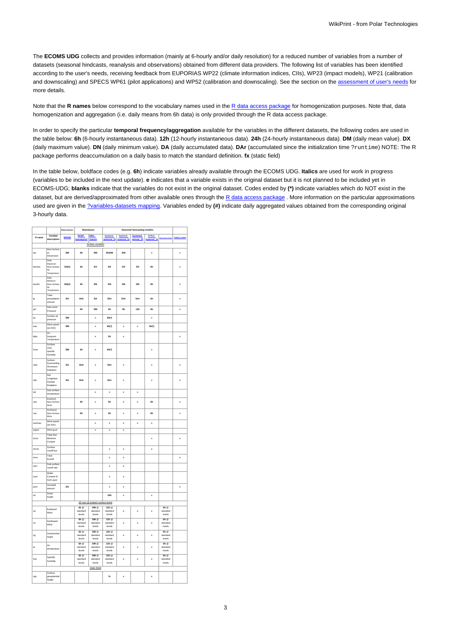The **ECOMS UDG** collects and provides information (mainly at 6-hourly and/or daily resolution) for a reduced number of variables from a number of datasets (seasonal hindcasts, reanalysis and observations) obtained from different data providers. The following list of variables has been identified according to the user's needs, receiving feedback from EUPORIAS WP22 (climate information indices, CIIs), WP23 (impact models), WP21 (calibration and downscaling) and SPECS WP61 (pilot applications) and WP52 (calibration and downscaling). See the section on the [assessment of user's needs](https://meteo.unican.es/trac/wiki/udg/ecoms/EndUserNeeds) for more details.

Note that the **R names** below correspond to the vocabulary names used in the [R data access package](https://meteo.unican.es/trac/wiki/udg/ecoms/RPackage) for homogenization purposes. Note that, data homogenization and aggregation (i.e. daily means from 6h data) is only provided through the R data access package.

In order to specify the particular **temporal frequency/aggregation** available for the variables in the different datasets, the following codes are used in the table below: **6h** (6-hourly instantaneous data). **12h** (12-hourly instantaneous data). **24h** (24-hourly instantaneous data). **DM** (daily mean value). **DX** (daily maximum value). **DN** (daily minimum value). **DA** (daily accumulated data). **DAr** (accumulated since the initialization time ?runtime) NOTE: The R package performs deaccumulation on a daily basis to match the standard definition. **fx** (static field)

In the table below, boldface codes (e.g. **6h**) indicate variables already available through the ECOMS UDG. **Italics** are used for work in progress (variables to be included in the next update). **e** indicates that a variable exists in the original dataset but it is not planned to be included yet in ECOMS-UDG; **blanks** indicate that the variables do not exist in the original dataset. Codes ended by **(\*)** indicate variables which do NOT exist in the dataset, but are derived/approximated from other available ones through the [R data access package](https://meteo.unican.es/trac/wiki/udg/ecoms/RPackage). More information on the particular approximations used are given in the [?variables-datasets mapping](http://meteo.unican.es/trac/wiki/EcomsUdg/EndUserNeeds/ListOfVariables). Variables ended by **(#)** indicate daily aggregated values obtained from the corresponding original 3-hourly data.

|                                   |                                                                      | Observations: | Reanalysis:                             |                                    | Seasonal forecasting models:             |                        |                      |             |                                     |                   |
|-----------------------------------|----------------------------------------------------------------------|---------------|-----------------------------------------|------------------------------------|------------------------------------------|------------------------|----------------------|-------------|-------------------------------------|-------------------|
| R name                            | Variable<br>description                                              | <b>WFDEI</b>  | NCEP_                                   | <b>ERA</b>                         | System4<br>seasonal_15                   | System4<br>seasonal 51 | System4<br>annual_15 | CFSv2       |                                     | 2SPECS_ESGE       |
|                                   |                                                                      |               | reanalysis1 interim                     | Surface variables                  |                                          |                        |                      | seasonal_15 |                                     |                   |
|                                   | Near-Surface                                                         |               |                                         |                                    |                                          |                        |                      |             |                                     |                   |
| tas                               | air<br>temperature                                                   | <b>DM</b>     | 6h                                      | DM                                 | 6h/DM                                    | DM                     |                      | ė           |                                     | è                 |
| tasmax                            | Daily<br>Maximum<br>Near-Surface<br>$_{\mathsf{Air}}$<br>Temperature | DX(0)         | 6h                                      | DX                                 | DX                                       | DX                     | DX                   | 6h          |                                     | ė                 |
| tasmin                            | Daily<br>Minimum<br>Near-Surface<br>Air<br>Temperature               | DN(ii)        | 6h                                      | DN                                 | DN                                       | DN                     | DN                   | 6h          |                                     | ė                 |
| tp                                | Total<br>precipitation<br>amount                                     | DA            | 6hA                                     | DA                                 | DAr                                      | DAr                    | DAr                  | 6h          |                                     | ė                 |
| psl                               | Sea Level<br>Pressure                                                |               | 6h                                      | DM                                 | 6h                                       | 6h                     | 12 <sub>h</sub>      | 6h          |                                     | ė                 |
| ps                                | Surface air<br>pressure                                              | DM            |                                         | ė                                  | $6h$ <sup>*</sup> )                      |                        |                      | ė           |                                     |                   |
| wss                               | Wind speed<br>(at 10m)                                               | DM            |                                         | ė                                  | $6h$ <sup>*</sup> )                      | ė                      | ė                    | 6h(*)       |                                     |                   |
| tdps                              | 2m<br>Dewpoint<br>Temperature                                        |               |                                         | Ä                                  | ŔЬ                                       | Ä                      |                      |             |                                     | Ä                 |
| huss                              | Surface<br>(2m)<br>specific<br>humidity                              | DM            | 6h                                      | e                                  | 6h(*)                                    |                        |                      | ė           |                                     |                   |
| rsds                              | Surface<br>Downwelling<br>Shortwave<br>Radiation                     | DA            | <b>ShA</b>                              | $\ddot{\phantom{0}}$               | DAr                                      | $\ddot{\phantom{0}}$   |                      | ė           |                                     | ė                 |
| rids                              | Net<br>Longwave<br>Surface<br>Radiation                              | DA            | 6hA                                     | ė                                  | DAr                                      | ė                      |                      | è           |                                     | è                 |
| sst                               | Sea surface<br>temperature                                           |               |                                         | ė                                  | ė                                        | ė                      | è                    |             |                                     |                   |
| uás                               | Eastward<br>Near-Surface<br>Wind                                     |               | ŘЬ                                      | ė                                  | ŘЬ                                       | ė                      | ė                    | ŘЬ          |                                     | ė                 |
| vas                               | Northward<br>Near-Surface<br>Wind                                    |               | 6h                                      | ė                                  | 6h                                       | e                      | e                    | 6h          |                                     | ė                 |
| wssmax                            | Wind speed<br>(at 10m)                                               |               |                                         | ė                                  | ė                                        | ė                      | è                    | è           |                                     |                   |
| wgust                             | Wind gust                                                            |               |                                         | $\overline{\phantom{a}}$           | $\overline{\phantom{a}}$                 | e                      |                      |             |                                     |                   |
| mrso                              | <b>Total Soil</b><br>Moisture<br>Content                             |               |                                         |                                    |                                          |                        |                      | è           |                                     | ė                 |
| mrros                             | Surface<br>runoff flux                                               |               |                                         |                                    | ė                                        | e                      |                      | ė           |                                     |                   |
| mrro                              | Total<br>Runoff                                                      |               |                                         |                                    | ė                                        | ė                      |                      |             |                                     | $\ddot{\text{e}}$ |
| ssro                              | Sub-surface<br>runoff rate                                           |               |                                         |                                    | ė                                        | ė                      |                      |             |                                     |                   |
| wcsl                              | Water<br>Content of<br>Soil Layer                                    |               |                                         |                                    | ė                                        | ė                      |                      |             |                                     |                   |
| prsn                              | Snowfall<br>amount                                                   | DA            |                                         |                                    | e                                        | ė                      |                      |             |                                     | $\ddot{\text{e}}$ |
| sd                                | Snow<br>Depth                                                        |               |                                         |                                    | 24h                                      | e                      |                      | ė           |                                     |                   |
| 3D vars @ isobaric surface levels |                                                                      |               |                                         |                                    |                                          |                        |                      |             |                                     |                   |
| uá                                | Eastward<br>Wind                                                     |               | 6h<br>standard<br>levels                | DM @<br>standard<br>levels         | 12h<br>standard<br>levels                | ė                      | ė                    | ė           | 6h<br>standard<br>levels            |                   |
| vá                                | Northward<br>Wind                                                    |               | 6h<br>standard<br>levels                | $DM \otimes$<br>standard<br>levels | $12h \nstandardlevels$                   | ė                      | è                    | ė           | $6h \alpha$<br>standard<br>levels   |                   |
| 20                                | Geopotential<br>height                                               |               | $6h \n$<br>standard<br>levels           | $DM \otimes$<br>standard<br>levels | $12h$ <sup>®</sup><br>standard<br>levels | ė                      | è                    | è           | $6h$ $@$<br>standard<br>levels      |                   |
| ta                                | Air<br>temperature                                                   |               | $6h$ $@$<br>standard<br>levels          | $DM \otimes$<br>standard<br>levels | $12h$ <sup>®</sup><br>standard<br>levels | Ä                      | ė                    | Ä           | $6h$ $@$<br>standard<br>levels      |                   |
| hus                               | Specific<br>humidity                                                 |               | $6h$ <sup>®</sup><br>standard<br>levels | DM ®<br>hashnets<br>levels         | 12h @<br>standard<br>levels              | Ä                      | ė                    | Ä           | $6h \n\infty$<br>standard<br>levels |                   |
|                                   |                                                                      |               |                                         | Static fields                      |                                          |                        |                      |             |                                     |                   |
| zgs                               | Surface<br>geopotential<br>height                                    |               |                                         |                                    | fx                                       | e                      |                      | e           |                                     |                   |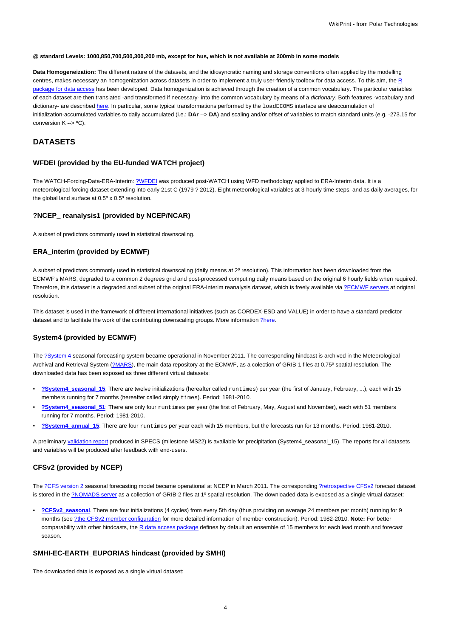#### **@ standard Levels: 1000,850,700,500,300,200 mb, except for hus, which is not available at 200mb in some models**

**Data Homogeneization:** The different nature of the datasets, and the idiosyncratic naming and storage conventions often applied by the modelling centres, makes necessary an homogenization across datasets in order to implement a truly user-friendly toolbox for data access. To this aim, the [R](https://meteo.unican.es/trac/wiki/udg/ecoms/RPackage) [package for data access](https://meteo.unican.es/trac/wiki/udg/ecoms/RPackage) has been developed. Data homogenization is achieved through the creation of a common vocabulary. The particular variables of each dataset are then translated -and transformed if necessary- into the common vocabulary by means of a dictionary. Both features -vocabulary and dictionary- are described [here.](https://meteo.unican.es/trac/wiki/udg/ecoms/RPackage/homogeneization) In particular, some typical transformations performed by the loadECOMS interface are deaccumulation of initialization-accumulated variables to daily accumulated (i.e.: **DAr** --> **DA**) and scaling and/or offset of variables to match standard units (e.g. -273.15 for conversion K --> ºC).

# **DATASETS**

# **WFDEI (provided by the EU-funded WATCH project)**

The WATCH-Forcing-Data-ERA-Interim: [?WFDEI](http://www.eu-watch.org/data_availability) was produced post-WATCH using WFD methodology applied to ERA-Interim data. It is a meteorological forcing dataset extending into early 21st C (1979 ? 2012). Eight meteorological variables at 3-hourly time steps, and as daily averages, for the global land surface at 0.5º x 0.5º resolution.

### **?NCEP\_ reanalysis1 (provided by NCEP/NCAR)**

A subset of predictors commonly used in statistical downscaling.

## **ERA\_interim (provided by ECMWF)**

A subset of predictors commonly used in statistical downscaling (daily means at 2º resolution). This information has been downloaded from the ECMWF's MARS, degraded to a common 2 degrees grid and post-processed computing daily means based on the original 6 hourly fields when required. Therefore, this dataset is a degraded and subset of the original ERA-Interim reanalysis dataset, which is freely available via [?ECMWF servers](http://www.ecmwf.int/en/research/climate-reanalysis/era-interim) at original resolution.

This dataset is used in the framework of different international initiatives (such as CORDEX-ESD and VALUE) in order to have a standard predictor dataset and to facilitate the work of the contributing downscaling groups. More information [?here.](http://meteo.unican.es/trac/wiki/udg/esd)

## **System4 (provided by ECMWF)**

The [?System 4](http://old.ecmwf.int/products/changes/system4/technical_description.html) seasonal forecasting system became operational in November 2011. The corresponding hindcast is archived in the Meteorological Archival and Retrieval System [\(?MARS\)](http://old.ecmwf.int/services/archive/), the main data repository at the ECMWF, as a colection of GRIB-1 files at 0.75° spatial resolution. The downloaded data has been exposed as three different virtual datasets:

- **[?System4\\_seasonal\\_15](http://www.meteo.unican.es/tds5/catalogs/system4/System4Datasets.html?dataset=system4/System4_Seasonal_15Members.ncml)**: There are twelve initializations (hereafter called runtimes) per year (the first of January, February, ...), each with 15 members running for 7 months (hereafter called simply times). Period: 1981-2010.
- **[?System4\\_seasonal\\_51](http://www.meteo.unican.es/tds5/catalogs/system4/System4Datasets.html?dataset=system4/System4_Seasonal_51Members.ncml)**: There are only four runtimes per year (the first of February, May, August and November), each with 51 members running for 7 months. Period: 1981-2010.
- **[?System4\\_annual\\_15](http://www.meteo.unican.es/tds5/catalogs/system4/System4Datasets.html?dataset=system4/System4_Annual_15Members.ncml)**: There are four runtimes per year each with 15 members, but the forecasts run for 13 months. Period: 1981-2010.

A preliminary [validation report](https://meteo.unican.es/trac/attachment/wiki/udg/ecoms/dataserver/datasets/validation_report_System4_15members_precip.pdf) produced in SPECS (milestone MS22) is available for precipitation (System4\_seasonal\_15). The reports for all datasets and variables will be produced after feedback with end-users.

# **CFSv2 (provided by NCEP)**

The [?CFS version 2](http://cfs.ncep.noaa.gov) seasonal forecasting model became operational at NCEP in March 2011. The corresponding [?retrospective CFSv2](http://cfs.ncep.noaa.gov/cfsv2.info/CFSv2.Reforecast.Data.doc) forecast dataset is stored in the [?NOMADS server](http://nomads.ncdc.noaa.gov/data.php?name=access#cfs-refor) as a collection of GRIB-2 files at 1º spatial resolution. The downloaded data is exposed as a single virtual dataset:

• **[?CFSv2\\_seasonal](http://www.meteo.unican.es/tds5/catalogs/cfs/cfsDatasets.html?dataset=cfsrr/CFSv2_Seasonal.ncml)**. There are four initializations (4 cycles) from every 5th day (thus providing on average 24 members per month) running for 9 months (see [?the CFSv2 member configuration](http://meteo.unican.es/trac/wiki/udg/ecoms/dataserver/datasets/CFSv2) for more detailed information of member construction). Period: 1982-2010. **Note:** For better comparability with other hindcasts, the [R data access package](https://meteo.unican.es/trac/wiki/udg/ecoms/RPackage) defines by default an ensemble of 15 members for each lead month and forecast season.

### **SMHI-EC-EARTH\_EUPORIAS hindcast (provided by SMHI)**

The downloaded data is exposed as a single virtual dataset: